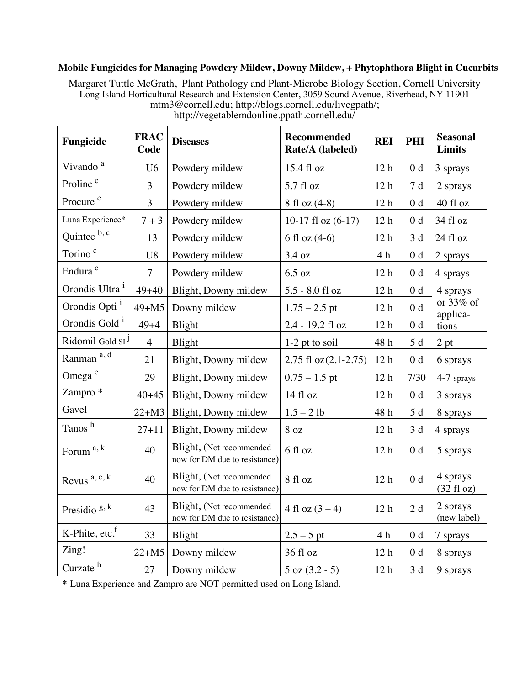## **Mobile Fungicides for Managing Powdery Mildew, Downy Mildew, + Phytophthora Blight in Cucurbits**

Margaret Tuttle McGrath, Plant Pathology and Plant-Microbe Biology Section, Cornell University Long Island Horticultural Research and Extension Center, 3059 Sound Avenue, Riverhead, NY 11901 mtm3@cornell.edu; http://blogs.cornell.edu/livegpath/;

| Fungicide                    | <b>FRAC</b><br>Code | <b>Diseases</b>                                           | <b>Recommended</b><br>Rate/A (labeled) | <b>REI</b>      | PHI            | <b>Seasonal</b><br><b>Limits</b> |
|------------------------------|---------------------|-----------------------------------------------------------|----------------------------------------|-----------------|----------------|----------------------------------|
| Vivando <sup>a</sup>         | U <sub>6</sub>      | Powdery mildew                                            | 15.4 fl oz                             | 12 <sub>h</sub> | 0 <sub>d</sub> | 3 sprays                         |
| Proline <sup>c</sup>         | 3                   | Powdery mildew                                            | 5.7 fl oz                              | 12 <sub>h</sub> | 7 d            | 2 sprays                         |
| Procure <sup>c</sup>         | 3                   | Powdery mildew                                            | 8 fl oz (4-8)                          | 12 <sub>h</sub> | 0 <sub>d</sub> | 40 fl oz                         |
| Luna Experience*             | $7 + 3$             | Powdery mildew                                            | 10-17 fl oz $(6-17)$                   | 12 <sub>h</sub> | 0 <sub>d</sub> | 34 fl oz                         |
| Quintec b, c                 | 13                  | Powdery mildew                                            | 6 fl oz $(4-6)$                        | 12 <sub>h</sub> | 3d             | 24 fl oz                         |
| Torino <sup>c</sup>          | U8                  | Powdery mildew                                            | 3.4 oz                                 | 4 <sub>h</sub>  | 0 <sub>d</sub> | 2 sprays                         |
| Endura <sup>c</sup>          | $\overline{7}$      | Powdery mildew                                            | $6.5$ oz                               | 12 <sub>h</sub> | 0 <sub>d</sub> | 4 sprays                         |
| Orondis Ultra <sup>1</sup>   | $49 + 40$           | Blight, Downy mildew                                      | 5.5 - 8.0 fl oz                        | 12 <sub>h</sub> | 0 <sub>d</sub> | 4 sprays                         |
| Orondis Opti <sup>1</sup>    | $49 + M5$           | Downy mildew                                              | $1.75 - 2.5$ pt                        | 12 <sub>h</sub> | 0 <sub>d</sub> | or 33% of<br>applica-            |
| Orondis Gold <sup>1</sup>    | $49 + 4$            | Blight                                                    | 2.4 - 19.2 fl oz                       | 12 <sub>h</sub> | $0\;\rm{d}$    | tions                            |
| Ridomil Gold SL <sup>J</sup> | $\overline{4}$      | Blight                                                    | $1-2$ pt to soil                       | 48 h            | 5d             | 2 pt                             |
| Ranman a, d                  | 21                  | Blight, Downy mildew                                      | 2.75 fl $oz(2.1-2.75)$                 | 12 <sub>h</sub> | 0 <sub>d</sub> | 6 sprays                         |
| Omega <sup>e</sup>           | 29                  | Blight, Downy mildew                                      | $0.75 - 1.5$ pt                        | 12 <sub>h</sub> | 7/30           | 4-7 sprays                       |
| Zampro *                     | $40+45$             | Blight, Downy mildew                                      | 14 fl oz                               | 12 <sub>h</sub> | 0 <sub>d</sub> | 3 sprays                         |
| Gavel                        | $22+M3$             | Blight, Downy mildew                                      | $1.5 - 2 lb$                           | 48 h            | 5d             | 8 sprays                         |
| Tanos <sup>h</sup>           | $27 + 11$           | Blight, Downy mildew                                      | 8 oz                                   | 12 <sub>h</sub> | 3d             | 4 sprays                         |
| Forum <sup>a, k</sup>        | 40                  | Blight, (Not recommended<br>now for DM due to resistance) | 6 fl oz                                | 12 <sub>h</sub> | 0 <sub>d</sub> | 5 sprays                         |
| Revus <sup>a, c, k</sup>     | 40                  | Blight, (Not recommended<br>now for DM due to resistance) | 8 fl oz                                | 12 <sub>h</sub> | 0 <sub>d</sub> | 4 sprays<br>$(32 \text{ fl oz})$ |
| Presidio $g, k$              | 43                  | Blight, (Not recommended<br>now for DM due to resistance) | 4 fl oz $(3 – 4)$                      | 12 <sub>h</sub> | 2d             | 2 sprays<br>(new label)          |
| K-Phite, etc. <sup>f</sup>   | 33                  | Blight                                                    | $2.5 - 5$ pt                           | 4 h             | 0 <sub>d</sub> | 7 sprays                         |
| Zing!                        | $22+M5$             | Downy mildew                                              | 36 fl oz                               | 12 <sub>h</sub> | 0 <sub>d</sub> | 8 sprays                         |
| Curzate <sup>h</sup>         | 27                  | Downy mildew                                              | $5$ oz $(3.2 - 5)$                     | 12 <sub>h</sub> | 3d             | 9 sprays                         |

http://vegetablemdonline.ppath.cornell.edu/

**\*** Luna Experience and Zampro are NOT permitted used on Long Island.